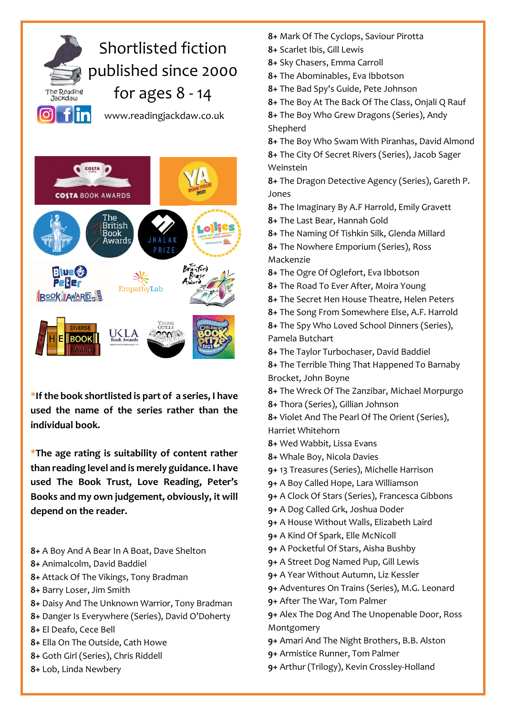## Shortlisted fiction published since 2000 for ages 8 - 14 The Reading ................<br>Jackdaw  $\boxed{\circ}$  flin www.readingjackdaw.co.uk



**\*If the book shortlisted is part of a series, I have used the name of the series rather than the individual book.**

**\*The age rating is suitability of content rather than reading level and is merely guidance. I have used The Book Trust, Love Reading, Peter's Books and my own judgement, obviously, it will depend on the reader.**

- **8+** A Boy And A Bear In A Boat, Dave Shelton
- **8+** Animalcolm, David Baddiel
- **8+** Attack Of The Vikings, Tony Bradman
- **8+** Barry Loser, Jim Smith
- **8+** [Daisy And The Unknown Warrior,](https://www.history.org.uk/primary/module/8774/young-quills-reviews-2021/10574/daisy-and-the-unknown-warrior) Tony Bradman
- **8+** Danger Is Everywhere (Series), David O'Doherty
- **8+** El Deafo, Cece Bell
- **8+** Ella On The Outside, Cath Howe
- **8+** Goth Girl (Series), Chris Riddell
- **8+** Lob, Linda Newbery
- **8+** Mark Of The Cyclops, Saviour Pirotta
- **8+** Scarlet Ibis, Gill Lewis
- **8+** Sky Chasers, Emma Carroll
- **8+** The Abominables, Eva Ibbotson
- **8+** The Bad Spy's Guide[, Pete Johnson](about:blank)
- **8+** The Boy At The Back Of The Class, Onjali Q Rauf
- **8+** The Boy Who Grew Dragons (Series)[, Andy](about:blank)  [Shepherd](about:blank)
- **8+** [The Boy Who Swam With Piranhas, David Almond](about:blank) **8+** The City Of Secret Rivers (Series), Jacob Sager Weinstein

**8+** The Dragon Detective Agency (Series), [Gareth P.](about:blank)  [Jones](about:blank)

- **8+** The Imaginary By A.F Harrold, Emily Gravett
- **8+** The Last Bear, Hannah Gold
- **8+** The Naming Of Tishkin Silk, Glenda Millard
- **8+** The Nowhere Emporium (Series), Ross Mackenzie
- **8+** The Ogre Of Oglefort, Eva Ibbotson
- **8+** The Road To Ever After, Moira Young
- **8+** The Secret Hen House Theatre[, Helen Peters](about:blank)
- **8+** The Song From Somewhere Else, A.F. Harrold
- **8+** The Spy Who Loved School Dinners (Series), [Pamela Butchart](about:blank)
- **8+** The Taylor Turbochaser, David Baddiel
- **8+** The Terrible Thing That Happened To Barnaby Brocket, John Boyne
- **8+** The Wreck Of The Zanzibar, Michael Morpurgo
- **8+** Thora (Series), Gillian Johnson

**8+** Violet And The Pearl Of The Orient (Series), [Harriet Whitehorn](about:blank)

- **8+** Wed Wabbit, Lissa Evans
- **8+** Whale Boy[, Nicola Davies](about:blank)
- **9+** 13 Treasures (Series), [Michelle Harrison](about:blank)
- **9+** A Boy Called Hope, [Lara Williamson](about:blank)
- **9+** A Clock Of Stars (Series), [Francesca Gibbons](about:blank)
- **9+** [A Dog Called Grk,](about:blank) Joshua Doder
- **9+** A House Without Walls, Elizabeth Laird
- **9+** A Kind Of Spark, Elle McNicoll
- **9+** A Pocketful Of Stars, Aisha Bushby
- **9+** A Street Dog Named Pup, Gill Lewis
- **9+** A Year Without Autumn[, Liz Kessler](about:blank)
- **9+** Adventures On Trains (Series), M.G. Leonard
- **9+** After The War, Tom Palmer
- **9+** Alex The Dog And The Unopenable Door[, Ross](about:blank)  [Montgomery](about:blank)
- **9+** Amari And The Night Brothers, B.B. Alston
- **9+** Armistice Runner, Tom Palmer
- **9+** Arthur (Trilogy), Kevin Crossley-Holland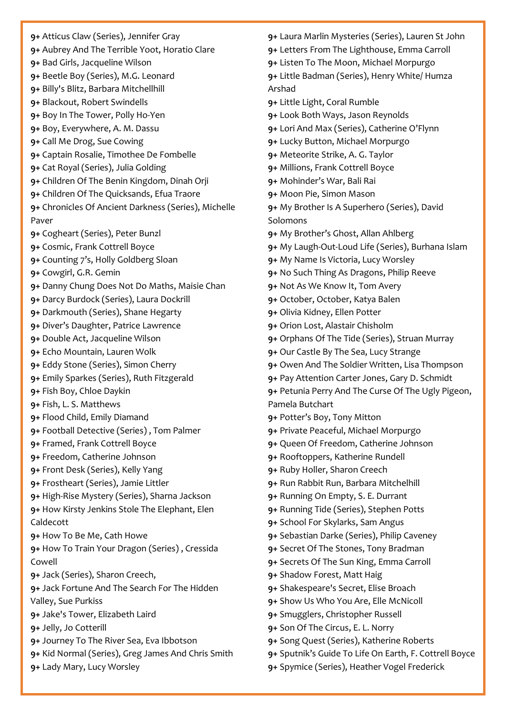- **9+** Atticus Claw (Series), Jennifer Gray
- **9+** Aubrey And The Terrible Yoot, Horatio Clare
- **9+** Bad Girls, Jacqueline Wilson
- **9+** Beetle Boy (Series), [M.G. Leonard](about:blank)
- **9+** Billy's Blitz, Barbara Mitchellhill
- **9+** [Blackout, Robert Swindells](https://www.history.org.uk/secondary/categories/925/module/5381/young-quills-2011/5387/blackout-by-robert-swindells-shorlisted-publis)
- **9+** Boy In The Tower[, Polly Ho-Yen](about:blank)
- **9+** Boy, Everywhere, [A. M. Dassu](about:blank)
- **9+** Call Me Drog, Sue Cowing
- **9+** Captain Rosalie, Timothee De Fombelle
- **9+** [Cat](about:blank) Royal (Series), [Julia Golding](about:blank)
- **9+** [Children Of The Benin Kingdom,](https://www.history.org.uk/primary/module/8774/young-quills-reviews-2021/10573/children-of-the-benin-kingdom) Dinah Orji
- **9+** Children Of The Quicksands, Efua Traore
- **9+** [Chronicles](about:blank) Of Ancient Darkness (Series)[, Michelle](about:blank)  [Paver](about:blank)
- **9+** Cogheart (Series), [Peter Bunzl](about:blank)
- **9+** Cosmic, [Frank Cottrell Boyce](about:blank)
- **9+** Counting 7's, Holly Goldberg Sloan
- **9+** Cowgirl[, G.R. Gemin](about:blank)
- **9+** Danny Chung Does Not Do Maths, Maisie Chan
- **9+** Darcy Burdock (Series)[, Laura Dockrill](about:blank)
- **9+** Darkmouth (Series)[, Shane Hegarty](about:blank)
- **9+** Diver's Daughter, Patrice Lawrence
- **9+** Double Act, Jacqueline Wilson
- **9+** Echo Mountain, Lauren Wolk
- **9+** Eddy Stone (Series), Simon Cherry
- **9+** Emily Sparkes (Series), Ruth Fitzgerald
- **9+** Fish Boy, Chloe Daykin
- **9+** Fish, [L. S. Matthews](about:blank)
- **9+** [Flood Child,](about:blank) Emily Diamand
- **9+** Football Detective (Series) , Tom Palmer
- **9+** [Framed, Frank Cottrell Boyce](about:blank)
- **9+** Freedom, Catherine Johnson
- **9+** Front Desk (Series), Kelly Yang
- **9+** Frostheart (Series), Jamie Littler
- **9+** High-Rise Mystery (Series)[, Sharna Jackson](about:blank)
- **9+** How Kirsty Jenkins Stole The Elephant, [Elen](about:blank)  [Caldecott](about:blank)
- **9+** How To Be Me, Cath Howe
- **9+** How To Train Your Dragon (Series) , Cressida Cowell
- **9+** Jack (Series), Sharon Creech,
- **9+** Jack Fortune And The Search For The Hidden Valley, Sue Purkiss
- **9+** Jake's Tower, Elizabeth Laird
- **9+** Jelly, Jo Cotterill
- **9+** Journey To The River Sea, Eva Ibbotson
- **9+** Kid Normal (Series)[, Greg James](about:blank) And [Chris Smith](about:blank)
- **9+** Lady Mary, Lucy Worsley
- **9+** Laura Marlin Mysteries (Series), [Lauren St John](about:blank)
- **9+** Letters From The Lighthouse, Emma Carroll
- **9+** Listen To The Moon, Michael Morpurgo
- **9+** Little Badman (Series), Henry White/ Humza Arshad
- **9+** Little Light, Coral Rumble
- **9+** Look Both Ways, Jason Reynolds
- **9+** Lori And Max (Series), Catherine O'Flynn
- **9+** Lucky Button, Michael Morpurgo
- **9+** Meteorite Strike, [A. G. Taylor](about:blank)
- **9+** Millions, Frank Cottrell Boyce
- **9+** Mohinder's War, Bali Rai
- **9+** Moon Pie, Simon Mason
- **9+** My Brother Is A Superhero (Series), David Solomons
- **9+** My Brother's Ghost, Allan Ahlberg
- **9+** My Laugh-Out-Loud Life (Series), Burhana Islam
- **9+** My Name Is Victoria, Lucy Worsley
- **9+** No Such Thing As Dragons, Philip Reeve
- **9+** Not As We Know It, Tom Avery
- **9+** October, October, Katya Balen
- **9+** Olivia Kidney, [Ellen Potter](about:blank)
- **9+** Orion Lost[, Alastair Chisholm](about:blank)
- **9+** Orphans Of The Tide (Series), Struan Murray
- **9+** Our Castle By The Sea, Lucy Strange
- **9+** Owen And The Soldier Written, Lisa Thompson
- **9+** Pay Attention Carter Jones, Gary D. Schmidt
- **9+** Petunia Perry And The Curse Of The Ugly Pigeon, Pamela Butchart
- **9+** Potter's Boy, Tony Mitton
- **9+** Private Peaceful, Michael Morpurgo
- **9+** Queen Of Freedom, Catherine Johnson
- **9+** Rooftoppers, Katherine Rundell
- **9+** Ruby Holler, Sharon Creech
- **9+** [Run Rabbit Run, Barbara Mitchelhill](https://www.history.org.uk/secondary/categories/925/module/5381/young-quills-2011/5384/run-rabbit-by-run-barbara-mitchellhill-shortlist)
- **9+** Running On Empty, S. E. Durrant
- **9+** Running Tide (Series), Stephen Potts
- **9+** School For Skylarks, Sam Angus
- **9+** [Sebastian Darke](about:blank) (Series), [Philip Caveney](about:blank)
- **9+** Secret Of The Stones, Tony Bradman
- **9+** Secrets Of The Sun King, Emma Carroll
- **9+** [Shadow Forest, Matt Haig](about:blank)
- **9+** Shakespeare's Secret, [Elise Broach](about:blank)
- **9+** Show Us Who You Are, Elle McNicoll
- **9+** Smugglers[, Christopher Russell](about:blank)
- **9+** Son Of The Circus, E. L. Norry
- **9+** [Song Quest](about:blank) (Series), Katherine Roberts
- **9+** Sputnik's Guide To Life On Earth, F. Cottrell Boyce
- **9+** Spymice (Series), [Heather Vogel Frederick](about:blank)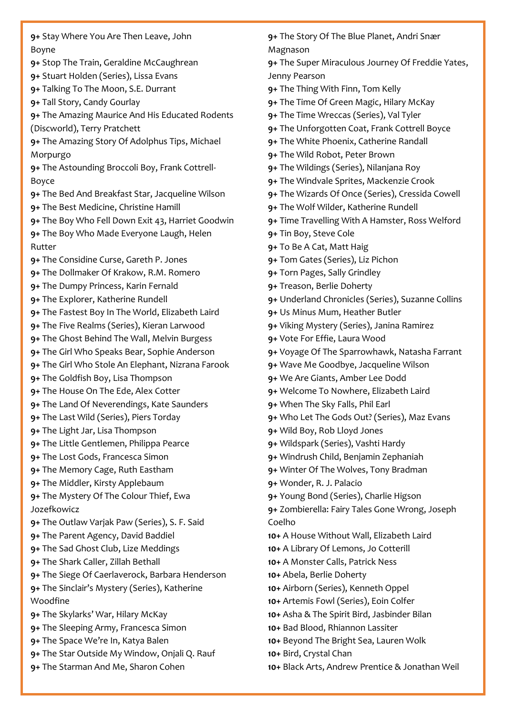**9+** Stay Where You Are Then Leave, John Boyne **9+** Stop The Train, Geraldine McCaughrean **9+** Stuart Holden (Series), Lissa Evans **9+** Talking To The Moon, S.E. Durrant **9+** Tall Story, Candy Gourlay **9+** The Amazing Maurice And His Educated Rodents (Discworld), Terry Pratchett **9+** The Amazing Story Of Adolphus Tips[, Michael](about:blank)  [Morpurgo](about:blank) **9+** The Astounding Broccoli Boy, [Frank Cottrell-](about:blank)[Boyce](about:blank) **9+** The Bed And Breakfast Star, Jacqueline Wilson **9+** The Best Medicine, Christine Hamill **9+** The Boy Who Fell Down Exit 43[, Harriet Goodwin](about:blank) **9+** The Boy Who Made Everyone Laugh, Helen Rutter **9+** The Considine Curse, [Gareth P. Jones](about:blank) **9+** The Dollmaker Of Krakow, R.M. Romero **9+** The Dumpy Princess, Karin Fernald **9+** The Explorer, Katherine Rundell **9+** The Fastest Boy In The World, Elizabeth Laird **9+** The Five Realms (Series)[, Kieran Larwood](about:blank) **9+** The Ghost Behind The Wall, Melvin Burgess **9+** The Girl Who Speaks Bear, Sophie Anderson **9+** The Girl Who Stole An Elephant, Nizrana Farook **9+** The Goldfish Boy, Lisa Thompson **9+** The House On The Ede, Alex Cotter **9+** The Land Of Neverendings, Kate Saunders **9+** The Last Wild (Series), Piers Torday **9+** The Light Jar, Lisa Thompson **9+** The Little Gentlemen, Philippa Pearce **9+** The Lost Gods, Francesca Simon **9+** The Memory Cage, [Ruth Eastham](about:blank) **9+** The Middler[, Kirsty Applebaum](about:blank) **9+** The Mystery Of The Colour Thief[, Ewa](about:blank)  [Jozefkowicz](about:blank) **9+** The Outlaw Varjak Paw (Series)[, S. F. Said](about:blank) **9+** The Parent Agency, David Baddiel **9+** The Sad Ghost Club, Lize Meddings **9+** The Shark Caller, Zillah Bethall **9+** [The Siege Of Caerlaverock,](https://www.history.org.uk/primary/module/8774/young-quills-reviews-2021/10575/the-siege-of-caerlaverock) Barbara Henderson **9+** The Sinclair's Mystery (Series), [Katherine](about:blank)  [Woodfine](about:blank) **9+** The Skylarks' War, Hilary McKay **9+** [The Sleeping Army, Francesca Simon](https://www.history.org.uk/secondary/categories/925/module/5381/young-quills-2011/5386/the-sleeping-army-by-francesca-simon-shortlisted) **9+** The Space We're In, Katya Balen **9+** The Star Outside My Window, Onjali Q. Rauf **9+** The Starman And Me, Sharon Cohen

**9+** The Story Of The Blue Planet, Andri Snӕr Magnason

**9+** The Super Miraculous Journey Of Freddie Yates, Jenny Pearson

**9+** The Thing With Finn, Tom Kelly

- **9+** The Time Of Green Magic, Hilary McKay
- **9+** The Time Wreccas (Series), Val Tyler
- **9+** The Unforgotten Coat, Frank Cottrell Boyce
- **9+** [The White Phoenix,](https://www.history.org.uk/secondary/module/8774/young-quills-reviews-2021/10582/the-white-phoenix) Catherine Randall
- **9+** The Wild Robot, Peter Brown
- **9+** The Wildings (Series)[, Nilanjana Roy](about:blank)
- **9+** The Windvale Sprites[, Mackenzie Crook](about:blank)
- **9+** The Wizards Of Once (Series)[, Cressida Cowell](about:blank)
- **9+** The Wolf Wilder, Katherine Rundell
- **9+** Time Travelling With A Hamster, Ross Welford
- **9+** Tin Boy, Steve Cole
- **9+** To Be A Cat, Matt Haig
- **9+** Tom Gates (Series), [Liz Pichon](about:blank)
- **9+** Torn Pages, Sally Grindley
- **9+** [Treason, Berlie Doherty](https://www.history.org.uk/secondary/categories/925/module/5381/young-quills-2011/5385/treason-by-berlie-doherty-shortlisted-publishe)
- **9+** Underland Chronicles (Series)[, Suzanne Collins](about:blank)
- **9+** Us Minus Mum, Heather Butler
- **9+** Viking Mystery (Series), Janina Ramirez
- **9+** Vote For Effie, Laura Wood
- **9+** Voyage Of The Sparrowhawk, Natasha Farrant
- **9+** Wave Me Goodbye, Jacqueline Wilson
- **9+** [We Are Giants,](about:blank) Amber Lee Dodd
- **9+** Welcome To Nowhere, Elizabeth Laird
- **9+** When The Sky Falls, Phil Earl
- **9+** Who Let The Gods Out? (Series), [Maz Evans](about:blank)
- **9+** [Wild Boy, Rob Lloyd Jones](about:blank)
- **9+** Wildspark (Series), Vashti Hardy
- **9+** Windrush Child, Benjamin Zephaniah
- **9+** Winter Of The Wolves, Tony Bradman
- **9+** Wonder[, R. J. Palacio](about:blank)
- **9+** [Young](about:blank) Bond (Series)[, Charlie Higson](about:blank)

**9+** Zombierella: Fairy Tales Gone Wrong, Joseph Coelho

- **10+** A House Without Wall, Elizabeth Laird
- **10+** A Library Of Lemons, Jo Cotterill
- **10+** A Monster Calls, Patrick Ness
- **10+** Abela[, Berlie Doherty](about:blank)
- **10+** Airborn (Series), [Kenneth Oppel](about:blank)
- **10+** Artemis Fowl (Series), Eoin Colfer
- **10+** Asha & The Spirit Bird, Jasbinder Bilan
- **10+** Bad Blood, Rhiannon Lassiter
- **10+** Beyond The Bright Sea, Lauren Wolk
- **10+** Bird, [Crystal Chan](about:blank)
- **10+** Black Arts, Andrew Prentice [& Jonathan Weil](about:blank)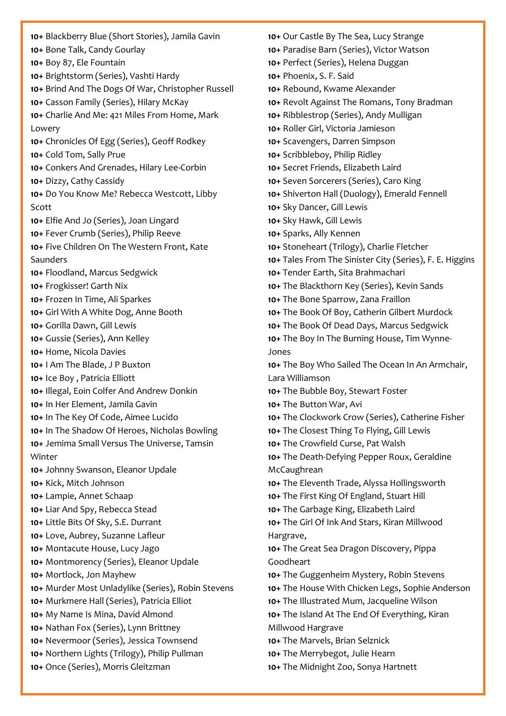**10+** Blackberry Blue (Short Stories), Jamila Gavin **10+** Bone Talk, Candy Gourlay **10+** Boy 87, [Ele Fountain](about:blank) **10+** Brightstorm (Series), [Vashti Hardy](about:blank) **10+** Brind And The Dogs Of War, Christopher Russell **10+** Casson Family (Series), Hilary McKay **10+** Charlie And Me: 421 Miles From Home, Mark Lowery **10+** Chronicles Of Egg (Series)[, Geoff Rodkey](about:blank) **10+** Cold Tom, Sally Prue **10+** Conkers And Grenades, Hilary Lee-Corbin **10+** [Dizzy,](about:blank) Cathy Cassidy **10+** Do You Know Me? Rebecca Westcott, Libby Scott **10+** Elfie And Jo (Series), Joan Lingard **10+** Fever Crumb (Series), Philip Reeve **10+** Five Children On The Western Front, Kate Saunders **10+** [Floodland,](about:blank) Marcus Sedgwick **10+** Frogkisser! Garth Nix **10+** [Frozen In Time, Ali Sparkes](about:blank) **10+** Girl With A White Dog[, Anne Booth](about:blank) **10+** Gorilla Dawn, Gill Lewis **10+** Gussie (Series), Ann Kelley **10+** Home, Nicola Davies **10+** I Am The Blade, J P Buxton **10+** [Ice Boy](about:blank) , Patricia Elliott **10+** Illegal, Eoin Colfer And Andrew Donkin **10+** In Her Element, Jamila Gavin **10+** In The Key Of Code, Aimee Lucido **10+** In The Shadow Of Heroes, Nicholas Bowling **10+** Jemima Small Versus The Universe, [Tamsin](about:blank)  [Winter](about:blank) **10+** Johnny Swanson, Eleanor Updale **10+** Kick, Mitch Johnson **10+** Lampie, Annet Schaap **10+** Liar And Spy, Rebecca Stead **10+** [Little Bits Of Sky,](about:blank) S.E. Durrant **10+** Love, Aubrey[, Suzanne Lafleur](about:blank) **10+** Montacute House, Lucy Jago **10+** [Montmorency](about:blank) (Series), Eleanor Updale **10+** Mortlock, [Jon Mayhew](about:blank) **10+** Murder Most Unladylike (Series)[, Robin Stevens](about:blank) **10+** Murkmere Hall (Series), Patricia Elliot **10+** My Name Is Mina, David Almond **10+** [Nathan Fox](about:blank) (Series), Lynn Brittney **10+** Nevermoor (Series)[, Jessica Townsend](about:blank) **10+** Northern Lights (Trilogy), Philip Pullman **10+** Once (Series), Morris Gleitzman

**10+** Our Castle By The Sea[, Lucy Strange](about:blank) **10+** [Paradise Barn](about:blank) (Series), Victor Watson **10+** Perfect (Series), [Helena Duggan](about:blank) **10+** Phoenix, S. F. Said **10+** Rebound, Kwame Alexander **10+** Revolt Against The Romans, Tony Bradman **10+** Ribblestrop (Series), Andy Mulligan **10+** Roller Girl, Victoria Jamieson **10+** Scavengers, Darren Simpson **10+** Scribbleboy, Philip Ridley **10+** Secret Friends, Elizabeth Laird **10+** Seven Sorcerers (Series), [Caro King](about:blank) **10+** Shiverton Hall (Duology), [Emerald Fennell](about:blank) **10+** Sky Dancer, Gill Lewis **10+** Sky Hawk, Gill Lewis **10+** Sparks, Ally Kennen **10+** Stoneheart (Trilogy), Charlie Fletcher **10+** Tales From The Sinister City (Series), [F. E. Higgins](about:blank) **10+** Tender Earth, Sita Brahmachari **10+** The Blackthorn Key (Series), [Kevin Sands](about:blank) **10+** The Bone Sparrow, Zana Fraillon **10+** The Book Of Boy, Catherin Gilbert Murdock **10+** The Book Of Dead Days, Marcus Sedgwick **10+** The Boy In The Burning House, Tim Wynne-Jones **10+** The Boy Who Sailed The Ocean In An Armchair, [Lara Willia](about:blank)mson **10+** [The Bubble Boy, S](about:blank)tewart Foster **10+** The Button War, Avi **10+** The Clockwork Crow (Series)[, Catherine Fisher](about:blank) **10+** The Closest Thing To Flying, Gill Lewis **10+** [The Crowfield Curse,](about:blank) Pat Walsh **10+** The Death-Defying Pepper Roux, Geraldine **McCaughrean 10+** The Eleventh Trade, Alyssa Hollingsworth **10+** The First King Of England, Stuart Hill **10+** [The Garbage King, Elizabeth Laird](about:blank) **10+** [The Girl Of Ink And Stars,](about:blank) Kiran Millwood Hargrave, **10+** The Great Sea Dragon Discovery, Pippa Goodheart **10+** The Guggenheim Mystery, Robin Stevens **10+** The House With Chicken Legs, Sophie Anderson **10+** The Illustrated Mum, Jacqueline Wilson **10+** The Island At The End Of Everything, Kiran Millwood Hargrave **10+** The Marvels, Brian Selznick **10+** The Merrybegot[, Julie Hearn](about:blank) **10+** The Midnight Zoo, Sonya Hartnett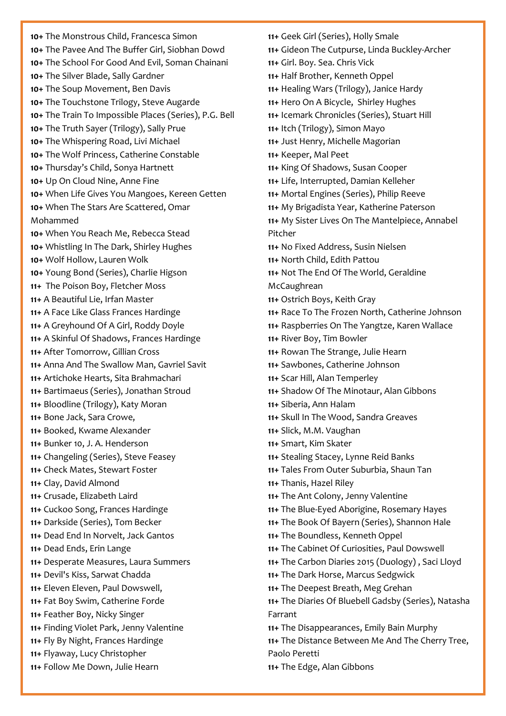**10+** The Monstrous Child, Francesca Simon **10+** The Pavee And The Buffer Girl, Siobhan Dowd **10+** The School For Good And Evil[, Soman Chainani](about:blank) **10+** The Silver Blade, Sally Gardner **10+** The Soup Movement, Ben Davis **10+** The Touchstone Trilogy, Steve Augarde **10+** The Train To Impossible Places (Series), P.G. Bell **10+** The Truth Sayer (Trilogy), Sally Prue **10+** The Whispering Road[, Livi Michael](about:blank) **10+** The Wolf Princess, Catherine Constable **10+** Thursday's Child, Sonya Hartnett **10+** Up On Cloud Nine, Anne Fine **10+** When Life Gives You Mangoes, Kereen Getten **10+** When The Stars Are Scattered, Omar Mohammed **10+** When You Reach Me, [Rebecca Stead](about:blank) **10+** Whistling In The Dark, Shirley Hughes **10+** Wolf Hollow, [Lauren Wolk](about:blank) **10+** [Young](about:blank) Bond (Series)[, Charlie Higson](about:blank) **11+** [The Poison Boy,](about:blank) Fletcher Moss **11+** [A Beautiful Lie,](about:blank) Irfan Master **11+** A Face Like Glass Frances Hardinge **11+** A Greyhound Of A Girl, Roddy Doyle **11+** A Skinful Of Shadows, Frances Hardinge **11+** After Tomorrow, Gillian Cross **11+** Anna And The Swallow Man, [Gavriel Savit](about:blank) **11+** Artichoke Hearts[, Sita Brahmachari](about:blank) **11+** Bartimaeus (Series), Jonathan Stroud **11+** Bloodline (Trilogy), Katy Moran **11+** [Bone Jack,](about:blank) Sara Crowe, **11+** Booked, Kwame Alexander **11+** Bunker 10, [J. A. Henderson](about:blank) **11+** Changeling (Series), [Steve Feasey](about:blank) **11+** Check Mates, Stewart Foster **11+** Clay, David Almond **11+** Crusade, Elizabeth Laird **11+** Cuckoo Song, Frances Hardinge **11+** Darkside (Series), [Tom Becker](about:blank) **11+** Dead End In Norvelt, Jack Gantos **11+** Dead Ends[, Erin Lange](about:blank) **11+** Desperate Measures, [Laura Summers](about:blank) **11+** [Devil's Kiss,](about:blank) Sarwat Chadda **11+** Eleven Eleven, Paul Dowswell, **11+** Fat Boy Swim, [Catherine Forde](about:blank) **11+** [Feather Boy,](about:blank) Nicky Singer **11+** [Finding Violet Park,](about:blank) Jenny Valentine **11+** [Fly By Night,](about:blank) Frances Hardinge **11+** Flyaway, [Lucy Christopher](about:blank) **11+** Follow Me Down, [Julie Hearn](about:blank) 

**11+** Geek Girl (Series)[, Holly Smale](about:blank) **11+** [Gideon The Cutpurse,](about:blank) Linda Buckley-Archer **11+** Girl. Boy. Sea. Chris Vick **11+** Half Brother, Kenneth Oppel **11+** Healing Wars (Trilogy)[, Janice Hardy](about:blank) **11+** Hero On A Bicycle, Shirley Hughes **11+** Icemark Chronicles (Series)[, Stuart Hill](about:blank) **11+** Itch (Trilogy), Simon Mayo **11+** Just Henry, Michelle Magorian **11+** Keeper, Mal Peet **11+** King Of Shadows, Susan Cooper **11+** [Life, Interrupted,](about:blank) Damian Kelleher **11+** [Mortal Engines](about:blank) (Series), Philip Reeve **11+** My Brigadista Year, Katherine Paterson **11+** [My Sister Lives On The Mantelpiece,](about:blank) Annabel Pitcher **11+** No Fixed Address, Susin Nielsen **11+** North Child[, Edith Pattou](about:blank) **11+** Not The End Of The World, Geraldine **McCaughrean 11+** Ostrich Boys, Keith Gray **11+** Race To The Frozen North, Catherine Johnson **11+** Raspberries On The Yangtze, Karen Wallace **11+** River Boy, Tim Bowler **11+** Rowan The Strange, Julie Hearn **11+** Sawbones, Catherine Johnson **11+** Scar Hill, Alan Temperley **11+** Shadow Of The Minotaur, Alan Gibbons **11+** Siberia[, Ann Halam](about:blank) **11+** Skull In The Wood, Sandra Greaves **11+** Slick, M.M. Vaughan **11+** Smart[, Kim Skater](about:blank) **11+** Stealing Stacey[, Lynne Reid Banks](about:blank) **11+** Tales From Outer Suburbia, Shaun Tan **11+** [Thanis,](about:blank) Hazel Riley **11+** The Ant Colony, Jenny Valentine **11+** The Blue-Eyed Aborigine, Rosemary Hayes **11+** [The Book](about:blank) Of Bayern (Series), [Shannon Hale](about:blank) **11+** The Boundless, Kenneth Oppel **11+** The Cabinet Of Curiosities, Paul Dowswell **11+** The Carbon Diaries 2015 (Duology) , Saci Lloyd **11+** The Dark Horse, Marcus Sedgwick **11+** The Deepest Breath[, Meg Grehan](about:blank) **11+** The Diaries Of Bluebell Gadsby (Series), Natasha Farrant **11+** The Disappearances[, Emily Bain Murphy](about:blank) **11+** The Distance Between Me And The Cherry Tree, Paolo Peretti **11+** The Edge, Alan Gibbons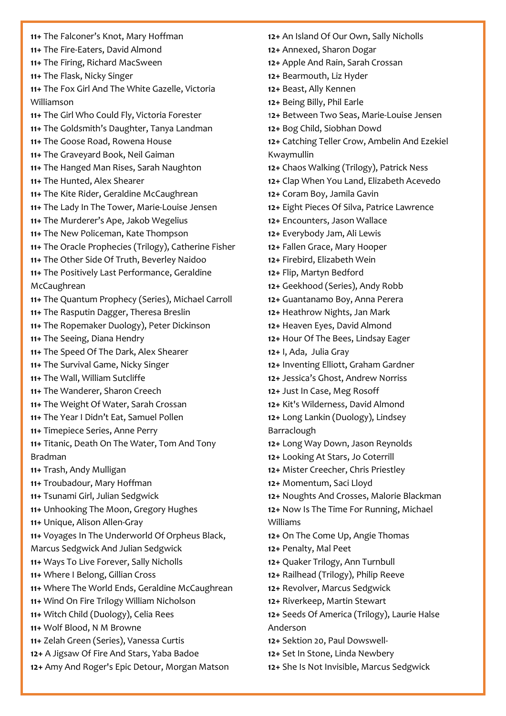**11+** The Falconer's Knot, Mary Hoffman **11+** The Fire-Eaters, David Almond **11+** [The Firing,](about:blank) Richard MacSween **11+** The Flask, Nicky Singer **11+** The Fox Girl And The White Gazelle, Victoria Williamson **11+** The Girl Who Could Fly[, Victoria Forester](about:blank) **11+** The Goldsmith's Daughter, Tanya Landman **11+** The Goose Road, Rowena House **11+** The Graveyard Book, Neil Gaiman **11+** The Hanged Man Rises, Sarah Naughton **11+** The Hunted, Alex Shearer **11+** The Kite Rider, Geraldine McCaughrean **11+** The Lady In The Tower, [Marie-Louise Jensen](about:blank) **11+** The Murderer's Ape, Jakob Wegelius **11+** The New Policeman, Kate Thompson **11+** The Oracle Prophecies (Trilogy), Catherine Fisher **11+** The Other Side Of Truth, Beverley Naidoo **11+** The Positively Last Performance, Geraldine McCaughrean **11+** The Quantum Prophecy (Series), [Michael Carroll](about:blank) **11+** The Rasputin Dagger, Theresa Breslin **11+** The Ropemaker Duology), Peter Dickinson **11+** The Seeing, Diana Hendry **11+** The Speed Of The Dark, Alex Shearer **11+** The Survival Game, Nicky Singer **11+** The Wall, William Sutcliffe **11+** The Wanderer, Sharon Creech **11+** The Weight Of Water, Sarah Crossan **11+** The Year I Didn't Eat, Samuel Pollen **11+** [Timepiece Series, Anne Perry](https://www.history.org.uk/secondary/categories/925/module/5381/young-quills-2011/5398/rose-of-no-mans-land-by-anne-perry-shortlisted) **11+** Titanic, Death On The Water, Tom And Tony Bradman **11+** Trash, Andy Mulligan **11+** Troubadour, Mary Hoffman **11+** Tsunami Girl, Julian Sedgwick **11+** Unhooking The Moon, Gregory Hughes **11+** [Unique,](about:blank) Alison Allen-Gray **11+** Voyages In The Underworld Of Orpheus Black, Marcus Sedgwick And Julian Sedgwick **11+** [Ways To Live Forever,](about:blank) Sally Nicholls **11+** Where I Belong, Gillian Cross **11+** Where The World Ends, Geraldine McCaughrean **11+** Wind On Fire Trilogy William Nicholson **11+** Witch Child (Duology), Celia Rees **11+** [Wolf Blood, N M Browne](https://www.history.org.uk/secondary/categories/925/module/5381/young-quills-2011/5397/wolf-blood-by-n-m-browne-shortlisted-published) **11+** Zelah Green (Series), [Vanessa Curtis](about:blank) **12+** A Jigsaw Of Fire And Stars, Yaba Badoe **12+** Amy And Roger's Epic Detour, [Morgan Matson](about:blank)

**12+** An Island Of Our Own, Sally Nicholls **12+** Annexed, Sharon Dogar **12+** Apple And Rain, Sarah Crossan **12+** Bearmouth[, Liz Hyder](about:blank) **12+** Beast, Ally Kennen **12+** Being Billy, Phil Earle 1**2+** [Between Two Seas,](about:blank) Marie-Louise Jensen **12+** Bog Child, Siobhan Dowd **12+** Catching Teller Crow, Ambelin And Ezekiel Kwaymullin **12+** [Chaos](about:blank) Walking (Trilogy), Patrick Ness **12+** Clap When You Land, Elizabeth Acevedo **12+** Coram Boy, Jamila Gavin **12+** Eight Pieces Of Silva, Patrice Lawrence **12+** Encounters, Jason Wallace **12+** [Everybody Jam,](about:blank) Ali Lewis **12+** Fallen Grace, Mary Hooper **12+** Firebird, Elizabeth Wein **12+** Flip, Martyn Bedford **12+** Geekhood (Series), [Andy Robb](about:blank) **12+** [Guantanamo Boy,](about:blank) Anna Perera **12+** Heathrow Nights, Jan Mark **12+** Heaven Eyes, David Almond **12+** Hour Of The Bees[, Lindsay Eager](about:blank) **12+** [I, Ada,](https://www.history.org.uk/secondary/module/8774/young-quills-reviews-2021/10584/i-ada) Julia Gray **12+** Inventing Elliott, [Graham Gardner](about:blank) **12+** Jessica's Ghost, Andrew Norriss **12+** Just In Case, Meg Rosoff **12+** Kit's Wilderness, David Almond **12+** Long Lankin (Duology), Lindsey Barraclough **12+** Long Way Down, Jason Reynolds **12+** Looking At Stars, Jo Coterrill **12+** Mister Creecher, Chris Priestley **12+** Momentum, Saci Lloyd **12+** Noughts And Crosses, Malorie Blackman **12+** Now Is The Time For Running, Michael Williams **12+** On The Come Up, Angie Thomas **12+** Penalty, Mal Peet **12+** Quaker Trilogy, Ann Turnbull **12+** Railhead (Trilogy), Philip Reeve **12+** Revolver, Marcus Sedgwick **12+** [Riverkeep,](about:blank) Martin Stewart **12+** Seeds Of America (Trilogy), Laurie Halse Anderson **12+** [Sektion 20, Paul Dowswell-](https://www.history.org.uk/secondary/categories/925/module/5381/young-quills-2011/5395/sektion-20-by-paul-dowswell-shortlisted-publish)**12+** Set In Stone, Linda Newbery **12+** She Is Not Invisible, Marcus Sedgwick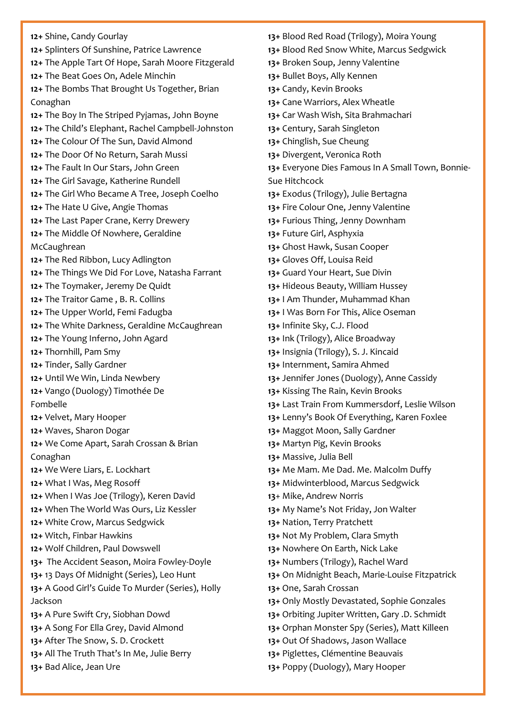**12+** Shine, Candy Gourlay **12+** Splinters Of Sunshine, Patrice Lawrence **12+** The Apple Tart Of Hope, [Sarah Moore Fitzgerald](about:blank) **12+** [The Beat Goes On,](about:blank) Adele Minchin **12+** The Bombs That Brought Us Together, Brian Conaghan **12+** The Boy In The Striped Pyjamas[, John Boyne](about:blank) **12+** The Child's Elephant, Rachel Campbell-Johnston **12+** The Colour Of The Sun, David Almond **12+** [The Door Of No Return,](about:blank) Sarah Mussi **12+** The Fault In Our Stars, John Green **12+** The Girl Savage, Katherine Rundell **12+** The Girl Who Became A Tree, Joseph Coelho **12+** The Hate U Give, Angie Thomas **12+** The Last Paper Crane, Kerry Drewery **12+** The Middle Of Nowhere, Geraldine McCaughrean **12+** The Red Ribbon, Lucy Adlington **12+** [The Things We Did For Love,](about:blank) Natasha Farrant **12+** [The Toymaker,](about:blank) Jeremy De Quidt **12+** [The Traitor Game](about:blank) , B. R. Collins **12+** The Upper World, Femi Fadugba **12+** The White Darkness, Geraldine McCaughrean **12+** The Young Inferno, John Agard **12+** Thornhill, [Pam Smy](about:blank) **12+** Tinder, Sally Gardner **12+** Until We Win, Linda Newbery **12+** Vango (Duology) Timothée De Fombelle **12+** [Velvet, Mary Hooper](https://www.history.org.uk/secondary/categories/925/module/5381/young-quills-2011/5394/velvet-by-mary-hooper-shortlisted-published-by) **12+** Waves, Sharon Dogar **12+** We Come Apart, Sarah Crossan & Brian Conaghan **12+** We Were Liars, E. Lockhart **12+** What I Was, Meg Rosoff **12+** When I Was Joe (Trilogy), Keren David **12+** When The World Was Ours, Liz Kessler **12+** White Crow, Marcus Sedgwick **12+** Witch, Finbar Hawkins **12+** Wolf Children, Paul Dowswell **13+** The Accident Season, Moira [Fowley-Doyle](about:blank) **13+** 13 Days Of Midnight (Series), [Leo Hunt](about:blank) **13+** A Good Girl's Guide To Murder (Series), Holly Jackson **13+** A Pure Swift Cry, Siobhan Dowd **13+** A Song For Ella Grey, David Almond **13+** [After The Snow,](about:blank) S. D. Crockett **13+** All The Truth That's In Me, Julie Berry **13+** Bad Alice, Jean Ure

**13+** Blood Red Road (Trilogy), Moira Young **13+** Blood Red Snow White, Marcus Sedgwick **13+** Broken Soup, [Jenny Valentine](about:blank) **13+** Bullet Boys, Ally Kennen **13+** Candy, Kevin Brooks **13+** Cane Warriors, Alex Wheatle **13+** Car Wash Wish, Sita Brahmachari **13+** Century, Sarah Singleton **13+** Chinglish, Sue Cheung **13+** Divergent, [Veronica Roth](about:blank) **13+** Everyone Dies Famous In A Small Town, Bonnie-Sue Hitchcock **13+** Exodus (Trilogy), Julie Bertagna **13+** Fire Colour One, Jenny Valentine **13+** Furious Thing, Jenny Downham **13+** Future Girl, Asphyxia **13+** Ghost Hawk, Susan Cooper **13+** Gloves Off, Louisa Reid **13+** Guard Your Heart, Sue Divin **13+** Hideous Beauty, William Hussey **13+** I Am Thunder, Muhammad Khan **13+** I Was Born For This, Alice Oseman **13+** [Infinite Sky, C.J. Flood](about:blank) **13+** Ink (Trilogy)[, Alice Broadway](about:blank) **13+** Insignia (Trilogy)[, S. J. Kincaid](about:blank) **13+** Internment[, Samira Ahmed](about:blank) **13+** Jennifer Jones (Duology), Anne Cassidy **13+** Kissing The Rain, Kevin Brooks **13+** [Last Train From Kummersdorf,](about:blank) Leslie Wilson **13+** Lenny's Book Of Everything, Karen Foxlee **13+** Maggot Moon, Sally Gardner **13+** Martyn Pig, Kevin Brooks **13+** Massive, Julia Bell **13+** Me Mam. Me Dad. Me. [Malcolm Duffy](about:blank) **13+** Midwinterblood, Marcus Sedgwick **13**+ Mike, Andrew Norris **13+** My Name's Not Friday, Jon Walter **13+** Nation, Terry Pratchett **13+** Not My Problem, Clara Smyth **13+** Nowhere On Earth, Nick Lake **13+** [Numbers](about:blank) (Trilogy), Rachel Ward **13+** On Midnight Beach, Marie-Louise Fitzpatrick **13+** One, Sarah Crossan **13+** Only Mostly Devastated, [Sophie Gonzales](about:blank) **13+** Orbiting Jupiter Written, Gary .D. Schmidt **13+** Orphan Monster Spy (Series), Matt Killeen **13+** Out Of Shadows, Jason Wallace **13+** Piglettes, Clémentine Beauvais **13+** Poppy (Duology), Mary Hooper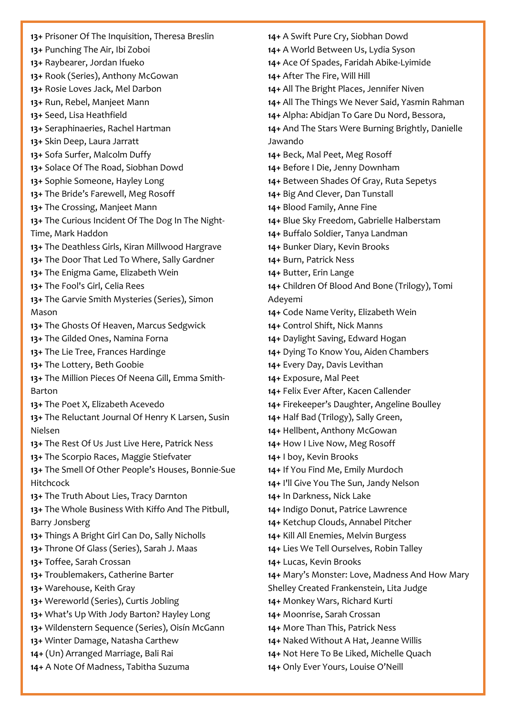**13+** Prisoner Of The Inquisition, Theresa Breslin **13+** Punching The Air, Ibi Zoboi **13+** Raybearer[, Jordan Ifueko](about:blank) **13+** Rook (Series), Anthony McGowan **13+** Rosie Loves Jack, Mel Darbon **13+** Run, Rebel, Manjeet Mann **13+** Seed, [Lisa Heathfield](about:blank) **13+** Seraphinaeries[, Rachel Hartman](about:blank) **13+** Skin Deep, [Laura Jarratt](about:blank) **13+** Sofa Surfer, Malcolm Duffy **13+** Solace Of The Road, Siobhan Dowd **13+** Sophie Someone, Hayley Long **13+** The Bride's Farewell, Meg Rosoff **13+** The Crossing, Manjeet Mann **13+** The Curious Incident Of The Dog In The Night-Time, Mark Haddon **13+** The Deathless Girls, Kiran Millwood Hargrave **13+** The Door That Led To Where, Sally Gardner **13+** The Enigma Game, Elizabeth Wein **13+** The Fool's Girl, Celia Rees **13+** The Garvie Smith Mysteries (Series), Simon Mason **13+** The Ghosts Of Heaven, Marcus Sedgwick **13+** The Gilded Ones, Namina Forna **13+** The Lie Tree, Frances Hardinge **13+** The Lottery[, Beth Goobie](about:blank) **13+** The Million Pieces Of Neena Gill[, Emma Smith-](about:blank)[Barton](about:blank) **13+** The Poet X, Elizabeth Acevedo **13+** The Reluctant Journal Of Henry K Larsen, Susin Nielsen **13+** The Rest Of Us Just Live Here, Patrick Ness **13+** The Scorpio Races, Maggie Stiefvater **13+** The Smell Of Other People's Houses, Bonnie-Sue Hitchcock **13+** The Truth About Lies[, Tracy Darnton](about:blank) **13+** The Whole Business With Kiffo And The Pitbull, [Barry Jonsberg](about:blank) **13+** Things A Bright Girl Can Do, Sally Nicholls **13+** Throne Of Glass (Series), [Sarah J. Maas](about:blank) **13+** Toffee, Sarah Crossan **13+** Troublemakers[, Catherine Barter](about:blank) **13+** Warehouse, Keith Gray **13+** Wereworld (Series), [Curtis Jobling](about:blank) **13+** What's Up With Jody Barton? Hayley Long **13+** Wildenstern Sequence (Series), [Oisín McGann](about:blank) **13+** [Winter Damage, Natasha Carthew](about:blank) **14+** (Un) Arranged Marriage, Bali Rai **14+** [A Note Of Madness,](about:blank) Tabitha Suzuma

**14+** [A Swift Pure Cry,](about:blank) Siobhan Dowd **14+** [A World Between Us, Lydia Syson](about:blank) **14+** Ace Of Spades, Faridah Abike-Lyimide **14+** After The Fire, Will Hill **14+** All The Bright Places, Jennifer Niven **14+** All The Things We Never Said, Yasmin Rahman **14+** Alpha: Abidjan To Gare Du Nord, Bessora, **14+** And The Stars Were Burning Brightly, Danielle Jawando **14+** Beck, Mal Peet, Meg Rosoff **14+** [Before I Die,](about:blank) Jenny Downham **14+** Between Shades Of Gray, [Ruta Sepetys](about:blank) **14+** [Big And Clever,](about:blank) Dan Tunstall **14+** Blood Family, Anne Fine **14+** Blue Sky Freedom[, Gabrielle Halberstam](about:blank) **14+** Buffalo Soldier, Tanya Landman **14+** Bunker Diary, Kevin Brooks **14+** Burn, Patrick Ness **14+** Butter, [Erin Lange](about:blank) **14+** Children Of Blood And Bone (Trilogy)[, Tomi](about:blank)  [Adeyemi](about:blank) **14+** Code Name Verity, Elizabeth Wein **14+** [Control Shift,](about:blank) Nick Manns **14+** [Daylight Saving,](about:blank) Edward Hogan **14+** Dying To Know You, Aiden Chambers **14+** Every Day, Davis Levithan **14+** Exposure, Mal Peet **14+** Felix Ever After, Kacen Callender **14+** Firekeeper's Daughter, Angeline Boulley **14+** Half Bad (Trilogy), Sally Green, **14+** [Hellbent,](about:blank) Anthony McGowan **14+** [How I Live Now,](about:blank) Meg Rosoff **14+** I boy, Kevin Brooks **14+** If You Find Me, [Emily Murdoch](about:blank) **14+** I'll Give You The Sun[, Jandy Nelson](about:blank) **14+** In Darkness, Nick Lake **14+** Indigo Donut, Patrice Lawrence **14+** Ketchup Clouds[, Annabel Pitcher](about:blank) **14+** Kill All Enemies, Melvin Burgess **14+** Lies We Tell Ourselves, Robin Talley **14+** Lucas, Kevin Brooks **14+** Mary's Monster: Love, Madness And How Mary Shelley Created Frankenstein, Lita Judge **14+** Monkey Wars, Richard Kurti **14+** Moonrise, Sarah Crossan **14+** More Than This, Patrick Ness **14+** Naked Without A Hat, Jeanne Willis **14+** Not Here To Be Liked, Michelle Quach **14+** Only Ever Yours[, Louise](about:blank) O'Neill